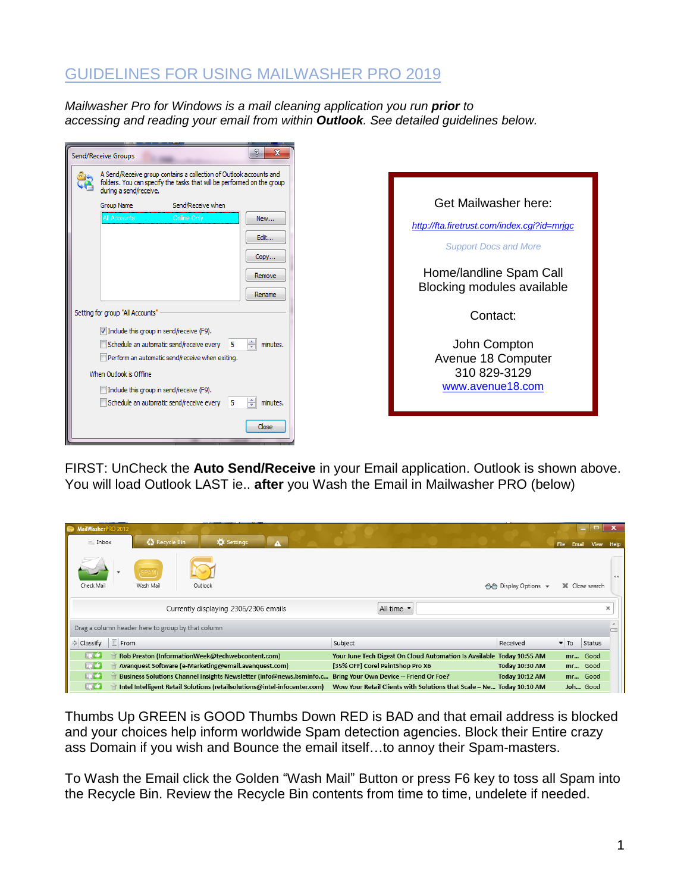## GUIDELINES FOR USING MAILWASHER PRO 2019

*Mailwasher Pro for Windows is a mail cleaning application you run prior to accessing and reading your email from within Outlook. See detailed guidelines below.*

| Send/Receive Groups                                                                                                                                                                                                                                                                                                                                                   |                                                                                                                                                              |
|-----------------------------------------------------------------------------------------------------------------------------------------------------------------------------------------------------------------------------------------------------------------------------------------------------------------------------------------------------------------------|--------------------------------------------------------------------------------------------------------------------------------------------------------------|
| A Send/Receive group contains a collection of Outlook accounts and<br>folders. You can specify the tasks that will be performed on the group<br>during a send/receive.<br><b>Group Name</b><br>Send/Receive when<br><b>All Accounts</b><br><b>Online Only</b><br>New<br>Edit<br>Copy<br>Remove                                                                        | Get Mailwasher here:<br>http://fta.firetrust.com/index.cgi?id=mrjgc<br><b>Support Docs and More</b><br>Home/landline Spam Call<br>Blocking modules available |
| Rename<br>Setting for group "All Accounts"<br>$\triangledown$ Include this group in send/receive (F9).<br>÷<br>Schedule an automatic send/receive every 5<br>minutes.<br>Perform an automatic send/receive when exiting.<br>When Outlook is Offline<br>$\Box$ Include this group in send/receive (F9).<br>÷<br>Schedule an automatic send/receive every 5<br>minutes. | Contact:<br>John Compton<br>Avenue 18 Computer<br>310 829-3129<br>www.avenue18.com                                                                           |
| Close                                                                                                                                                                                                                                                                                                                                                                 |                                                                                                                                                              |

FIRST: UnCheck the **Auto Send/Receive** in your Email application. Outlook is shown above. You will load Outlook LAST ie.. **after** you Wash the Email in Mailwasher PRO (below)

| MailWasherPRO 2012<br>$\leq$ Inbox                | Recycle Bin       | Settings<br>A                                                             |                                                                       |                       | Email<br><b>File</b>    | $\blacksquare$<br>View | $\mathbf{x}$<br>Help |
|---------------------------------------------------|-------------------|---------------------------------------------------------------------------|-----------------------------------------------------------------------|-----------------------|-------------------------|------------------------|----------------------|
| Check Mail                                        | SPAN<br>Wash Mail | Outlook                                                                   |                                                                       | ← Display Options     |                         | X Close search         | $-4 - 4$             |
|                                                   |                   | Currently displaying 2306/2306 emails                                     | All time •                                                            |                       |                         |                        | x                    |
| Drag a column header here to group by that column |                   |                                                                           |                                                                       |                       |                         |                        |                      |
| Classify<br>From                                  |                   |                                                                           | Subject                                                               | Received              | $\blacktriangledown$ To | Status                 |                      |
| فتها                                              |                   | Rob Preston (InformationWeek@techwebcontent.com)                          | Your June Tech Digest On Cloud Automation Is Available Today 10:55 AM |                       |                         | mr Good                |                      |
| ί                                                 |                   | Avanquest Software (e-Marketing@email.avanquest.com)                      | [35% OFF] Corel PaintShop Pro X6                                      | Today 10:30 AM        |                         | mr Good                |                      |
| ί                                                 |                   | Business Solutions Channel Insights Newsletter (info@news.bsminfo.c       | Bring Your Own Device -- Friend Or Foe?                               | <b>Today 10:12 AM</b> |                         | mr Good                |                      |
| Œ                                                 |                   | Intel Intelligent Retail Solutions (retailsolutions@intel-infocenter.com) | Wow Your Retail Clients with Solutions that Scale - Ne Today 10:10 AM |                       |                         | Joh Good               |                      |

Thumbs Up GREEN is GOOD Thumbs Down RED is BAD and that email address is blocked and your choices help inform worldwide Spam detection agencies. Block their Entire crazy ass Domain if you wish and Bounce the email itself…to annoy their Spam-masters.

To Wash the Email click the Golden "Wash Mail" Button or press F6 key to toss all Spam into the Recycle Bin. Review the Recycle Bin contents from time to time, undelete if needed.